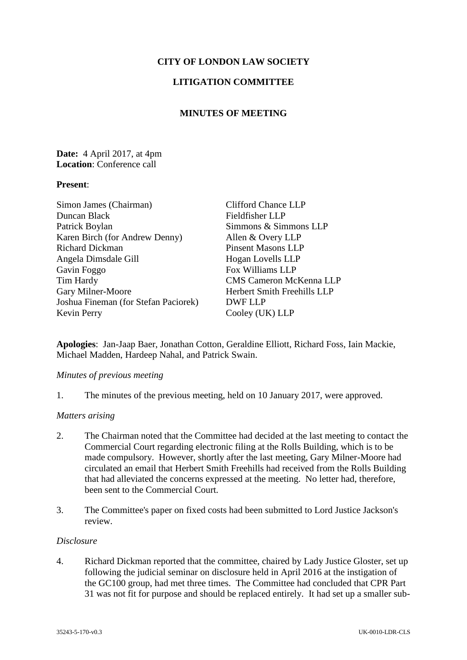# **CITY OF LONDON LAW SOCIETY**

## **LITIGATION COMMITTEE**

## **MINUTES OF MEETING**

## **Date:** 4 April 2017, at 4pm **Location**: Conference call

### **Present**:

| Simon James (Chairman)               | <b>Clifford Chance LLP</b>         |
|--------------------------------------|------------------------------------|
| Duncan Black                         | Fieldfisher LLP                    |
| Patrick Boylan                       | Simmons & Simmons LLP              |
| Karen Birch (for Andrew Denny)       | Allen & Overy LLP                  |
| <b>Richard Dickman</b>               | <b>Pinsent Masons LLP</b>          |
| Angela Dimsdale Gill                 | Hogan Lovells LLP                  |
| Gavin Foggo                          | Fox Williams LLP                   |
| Tim Hardy                            | <b>CMS Cameron McKenna LLP</b>     |
| Gary Milner-Moore                    | <b>Herbert Smith Freehills LLP</b> |
| Joshua Fineman (for Stefan Paciorek) | DWF LLP                            |
| Kevin Perry                          | Cooley (UK) LLP                    |

**Apologies**: Jan-Jaap Baer, Jonathan Cotton, Geraldine Elliott, Richard Foss, Iain Mackie, Michael Madden, Hardeep Nahal, and Patrick Swain.

#### *Minutes of previous meeting*

1. The minutes of the previous meeting, held on 10 January 2017, were approved.

#### *Matters arising*

- 2. The Chairman noted that the Committee had decided at the last meeting to contact the Commercial Court regarding electronic filing at the Rolls Building, which is to be made compulsory. However, shortly after the last meeting, Gary Milner-Moore had circulated an email that Herbert Smith Freehills had received from the Rolls Building that had alleviated the concerns expressed at the meeting. No letter had, therefore, been sent to the Commercial Court.
- 3. The Committee's paper on fixed costs had been submitted to Lord Justice Jackson's review.

#### *Disclosure*

4. Richard Dickman reported that the committee, chaired by Lady Justice Gloster, set up following the judicial seminar on disclosure held in April 2016 at the instigation of the GC100 group, had met three times. The Committee had concluded that CPR Part 31 was not fit for purpose and should be replaced entirely. It had set up a smaller sub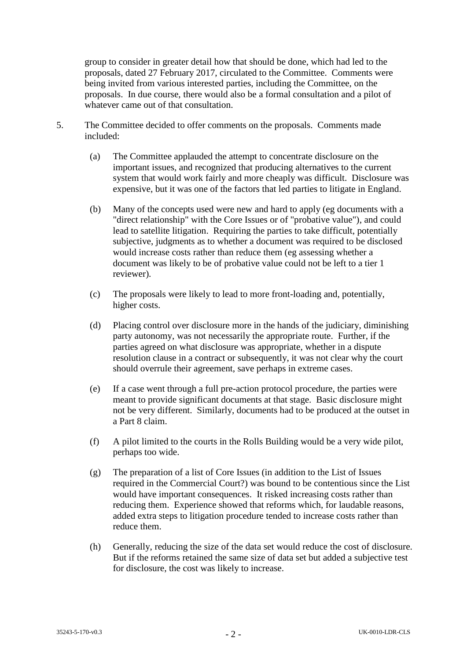group to consider in greater detail how that should be done, which had led to the proposals, dated 27 February 2017, circulated to the Committee. Comments were being invited from various interested parties, including the Committee, on the proposals. In due course, there would also be a formal consultation and a pilot of whatever came out of that consultation.

- 5. The Committee decided to offer comments on the proposals. Comments made included:
	- (a) The Committee applauded the attempt to concentrate disclosure on the important issues, and recognized that producing alternatives to the current system that would work fairly and more cheaply was difficult. Disclosure was expensive, but it was one of the factors that led parties to litigate in England.
	- (b) Many of the concepts used were new and hard to apply (eg documents with a "direct relationship" with the Core Issues or of "probative value"), and could lead to satellite litigation. Requiring the parties to take difficult, potentially subjective, judgments as to whether a document was required to be disclosed would increase costs rather than reduce them (eg assessing whether a document was likely to be of probative value could not be left to a tier 1 reviewer).
	- (c) The proposals were likely to lead to more front-loading and, potentially, higher costs.
	- (d) Placing control over disclosure more in the hands of the judiciary, diminishing party autonomy, was not necessarily the appropriate route. Further, if the parties agreed on what disclosure was appropriate, whether in a dispute resolution clause in a contract or subsequently, it was not clear why the court should overrule their agreement, save perhaps in extreme cases.
	- (e) If a case went through a full pre-action protocol procedure, the parties were meant to provide significant documents at that stage. Basic disclosure might not be very different. Similarly, documents had to be produced at the outset in a Part 8 claim.
	- (f) A pilot limited to the courts in the Rolls Building would be a very wide pilot, perhaps too wide.
	- (g) The preparation of a list of Core Issues (in addition to the List of Issues required in the Commercial Court?) was bound to be contentious since the List would have important consequences. It risked increasing costs rather than reducing them. Experience showed that reforms which, for laudable reasons, added extra steps to litigation procedure tended to increase costs rather than reduce them.
	- (h) Generally, reducing the size of the data set would reduce the cost of disclosure. But if the reforms retained the same size of data set but added a subjective test for disclosure, the cost was likely to increase.